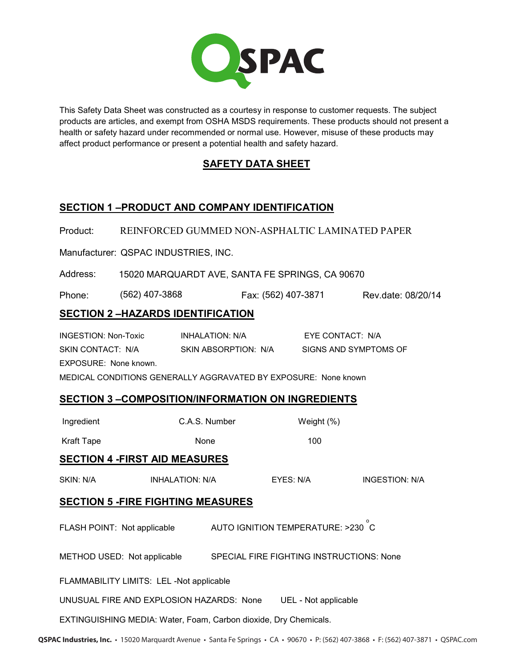

This Safety Data Sheet was constructed as a courtesy in response to customer requests. The subject products are articles, and exempt from OSHA MSDS requirements. These products should not present a health or safety hazard under recommended or normal use. However, misuse of these products may affect product performance or present a potential health and safety hazard.

## **SAFETY DATA SHEET**

# **SECTION 1 –PRODUCT AND COMPANY IDENTIFICATION**

Product: REINFORCED GUMMED NON-ASPHALTIC LAMINATED PAPER

Manufacturer: QSPAC INDUSTRIES, INC.

Address: 15 MAIN STREET, P.O. BOX 404, SUCCASUNNA, NJ 07876 (562) 407-3868 15020 MARQUARDT AVE, SANTA FE SPRINGS, CA 90670 (562) 407-3871Phone: (562) 407-3868 Fax: (562) 407-3871 Rev.date: 08/20/14

## **SECTION 2 –HAZARDS IDENTIFICATION**

INGESTION: Non-Toxic INHALATION: N/A EYE CONTACT: N/A SKIN CONTACT: N/A SKIN ABSORPTION: N/A SIGNS AND SYMPTOMS OF EXPOSURE: None known. MEDICAL CONDITIONS GENERALLY AGGRAVATED BY EXPOSURE: None known

# **SECTION 3 –COMPOSITION/INFORMATION ON INGREDIENTS**

| Ingredient | C.A.S. Number | Weight $(\%)$ |
|------------|---------------|---------------|
| Kraft Tape | None          | 100           |

#### **SECTION 4 -FIRST AID MEASURES**

| SKIN: N/A | <b>INHALATION: N/A</b> | EYES: N/A | INGESTION: N/A |
|-----------|------------------------|-----------|----------------|
|           |                        |           |                |

#### **SECTION 5 -FIRE FIGHTING MEASURES**

FLASH POINT: Not applicable  $\overline{\phantom{a}}$  auto ignition temperature: >230  $\overline{\phantom{a}}$  C

METHOD USED: Not applicable SPECIAL FIRE FIGHTING INSTRUCTIONS: None

FLAMMABILITY LIMITS: LEL -Not applicable

UNUSUAL FIRE AND EXPLOSION HAZARDS: None UEL - Not applicable

EXTINGUISHING MEDIA: Water, Foam, Carbon dioxide, Dry Chemicals.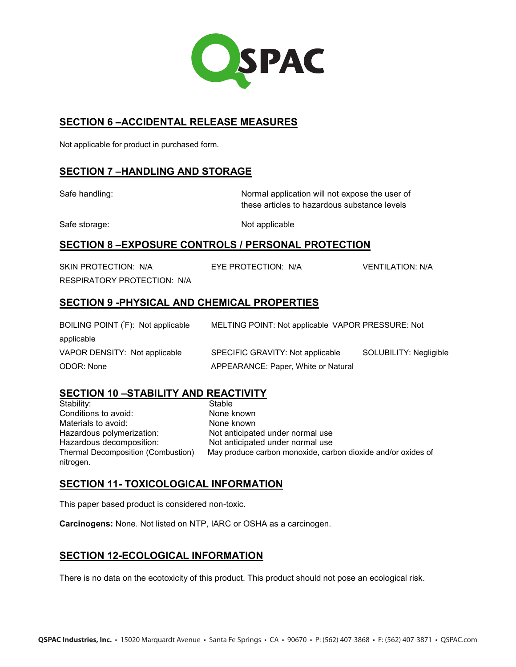

#### **SECTION 6 –ACCIDENTAL RELEASE MEASURES**

Not applicable for product in purchased form.

## **SECTION 7 –HANDLING AND STORAGE**

Safe handling: Normal application will not expose the user of these articles to hazardous substance levels

Safe storage: Not applicable

## **SECTION 8 –EXPOSURE CONTROLS / PERSONAL PROTECTION**

SKIN PROTECTION: N/A EYE PROTECTION: N/A VENTILATION: N/A RESPIRATORY PROTECTION: N/A

## **SECTION 9 -PHYSICAL AND CHEMICAL PROPERTIES**

| BOILING POINT (F): Not applicable | MELTING POINT: Not applicable VAPOR PRESSURE: Not |                        |
|-----------------------------------|---------------------------------------------------|------------------------|
| applicable                        |                                                   |                        |
| VAPOR DENSITY: Not applicable     | SPECIFIC GRAVITY: Not applicable                  | SOLUBILITY: Negligible |
| ODOR: None                        | APPEARANCE: Paper, White or Natural               |                        |

# **SECTION 10 –STABILITY AND REACTIVITY**

Stability: Stable Conditions to avoid: None known Materials to avoid: None known Hazardous polymerization: Not anticipated under normal use Hazardous decomposition: Not anticipated under normal use Thermal Decomposition (Combustion) May produce carbon monoxide, carbon dioxide and/or oxides of nitrogen.

#### **SECTION 11- TOXICOLOGICAL INFORMATION**

This paper based product is considered non-toxic.

**Carcinogens:** None. Not listed on NTP, IARC or OSHA as a carcinogen.

# **SECTION 12-ECOLOGICAL INFORMATION**

There is no data on the ecotoxicity of this product. This product should not pose an ecological risk.